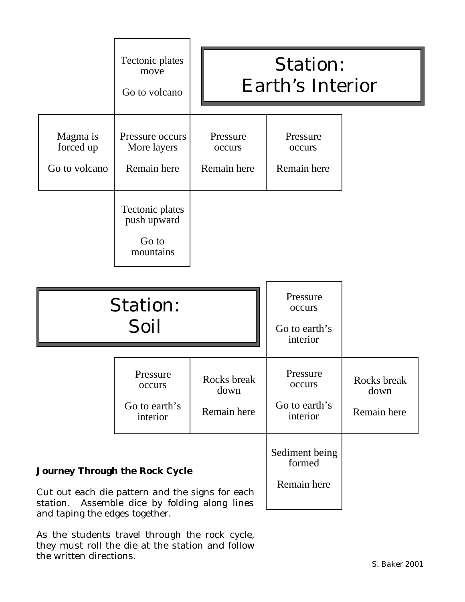|                                                                                                                                                                                | Tectonic plates<br>move<br>Go to volcano             | <b>Station:</b><br><b>Earth's Interior</b> |                                                 |                                    |
|--------------------------------------------------------------------------------------------------------------------------------------------------------------------------------|------------------------------------------------------|--------------------------------------------|-------------------------------------------------|------------------------------------|
| Magma is<br>forced up<br>Go to volcano                                                                                                                                         | Pressure occurs<br>More layers<br>Remain here        | Pressure<br>occurs<br>Remain here          | Pressure<br>occurs<br>Remain here               |                                    |
|                                                                                                                                                                                | Tectonic plates<br>push upward<br>Go to<br>mountains |                                            |                                                 |                                    |
| <b>Station:</b><br>Soil                                                                                                                                                        |                                                      |                                            | Pressure<br>occurs<br>Go to earth's<br>interior |                                    |
|                                                                                                                                                                                | Pressure<br>occurs<br>Go to earth's<br>interior      | Rocks break<br>down<br>Remain here         | Pressure<br>occurs<br>Go to earth's<br>interior | Rocks break<br>down<br>Remain here |
| <b>Journey Through the Rock Cycle</b><br>Cut out each die pattern and the signs for each<br>Assemble dice by folding along lines<br>station.<br>and taping the edges together. |                                                      |                                            | Sediment being<br>formed<br>Remain here         |                                    |

As the students travel through the rock cycle, they must roll the die at the station and follow the written directions.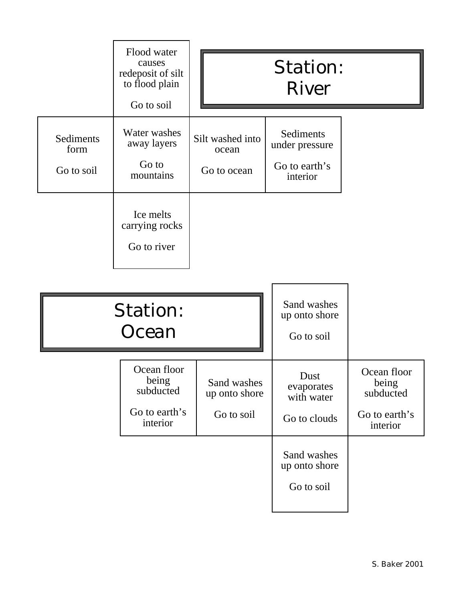|                                 | Flood water<br>causes<br>redeposit of silt<br>to flood plain<br>Go to soil |                                            | <b>Station:</b><br><b>River</b>                          |                                                                |
|---------------------------------|----------------------------------------------------------------------------|--------------------------------------------|----------------------------------------------------------|----------------------------------------------------------------|
| Sediments<br>form<br>Go to soil | Water washes<br>away layers<br>Go to<br>mountains                          | Silt washed into<br>ocean<br>Go to ocean   | Sediments<br>under pressure<br>Go to earth's<br>interior |                                                                |
|                                 | Ice melts<br>carrying rocks<br>Go to river                                 |                                            |                                                          |                                                                |
|                                 | <b>Station:</b><br>Ocean                                                   |                                            | Sand washes<br>up onto shore<br>Go to soil               |                                                                |
|                                 | Ocean floor<br>being<br>subducted<br>Go to earth's<br>interior             | Sand washes<br>up onto shore<br>Go to soil | Dust<br>evaporates<br>with water<br>Go to clouds         | Ocean floor<br>being<br>subducted<br>Go to earth's<br>interior |
|                                 |                                                                            |                                            | Sand washes<br>up onto shore<br>Go to soil               |                                                                |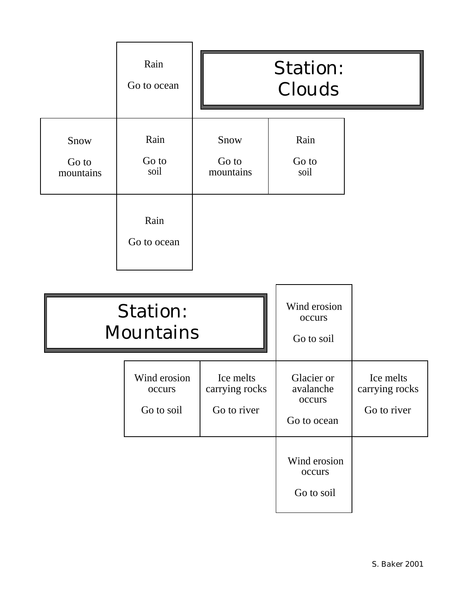|                                     | Rain<br>Go to ocean                          |                                            | <b>Station:</b><br>Clouds                        |                                            |
|-------------------------------------|----------------------------------------------|--------------------------------------------|--------------------------------------------------|--------------------------------------------|
| Snow<br>Go to<br>mountains          | Rain<br>Go to<br>soil<br>Rain<br>Go to ocean | Snow<br>Go to<br>mountains                 | Rain<br>Go to<br>soil                            |                                            |
| <b>Station:</b><br><b>Mountains</b> |                                              |                                            | Wind erosion<br>occurs<br>Go to soil             |                                            |
|                                     | Wind erosion<br>occurs<br>Go to soil         | Ice melts<br>carrying rocks<br>Go to river | Glacier or<br>avalanche<br>occurs<br>Go to ocean | Ice melts<br>carrying rocks<br>Go to river |
|                                     |                                              |                                            | Wind erosion<br>occurs<br>Go to soil             |                                            |